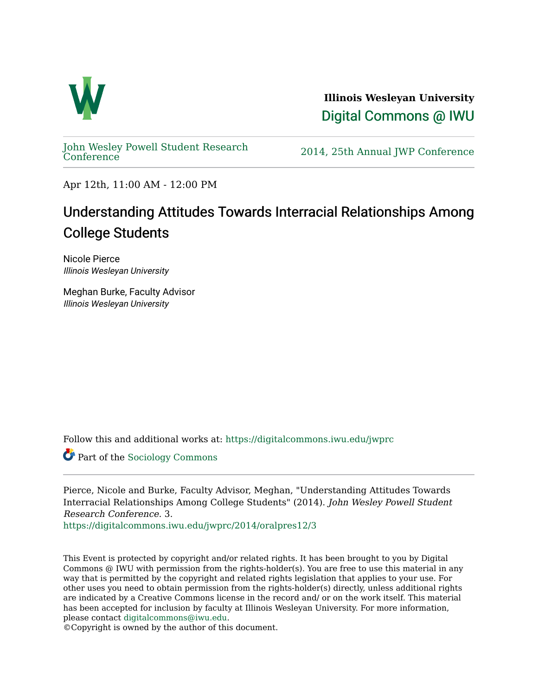

**Illinois Wesleyan University**  [Digital Commons @ IWU](https://digitalcommons.iwu.edu/) 

[John Wesley Powell Student Research](https://digitalcommons.iwu.edu/jwprc) 

2014, 25th Annual JWP [Conference](https://digitalcommons.iwu.edu/jwprc)

Apr 12th, 11:00 AM - 12:00 PM

# Understanding Attitudes Towards Interracial Relationships Among College Students

Nicole Pierce Illinois Wesleyan University

Meghan Burke, Faculty Advisor Illinois Wesleyan University

Follow this and additional works at: [https://digitalcommons.iwu.edu/jwprc](https://digitalcommons.iwu.edu/jwprc?utm_source=digitalcommons.iwu.edu%2Fjwprc%2F2014%2Foralpres12%2F3&utm_medium=PDF&utm_campaign=PDFCoverPages) 

Part of the [Sociology Commons](http://network.bepress.com/hgg/discipline/416?utm_source=digitalcommons.iwu.edu%2Fjwprc%2F2014%2Foralpres12%2F3&utm_medium=PDF&utm_campaign=PDFCoverPages) 

Pierce, Nicole and Burke, Faculty Advisor, Meghan, "Understanding Attitudes Towards Interracial Relationships Among College Students" (2014). John Wesley Powell Student Research Conference. 3.

[https://digitalcommons.iwu.edu/jwprc/2014/oralpres12/3](https://digitalcommons.iwu.edu/jwprc/2014/oralpres12/3?utm_source=digitalcommons.iwu.edu%2Fjwprc%2F2014%2Foralpres12%2F3&utm_medium=PDF&utm_campaign=PDFCoverPages) 

This Event is protected by copyright and/or related rights. It has been brought to you by Digital Commons @ IWU with permission from the rights-holder(s). You are free to use this material in any way that is permitted by the copyright and related rights legislation that applies to your use. For other uses you need to obtain permission from the rights-holder(s) directly, unless additional rights are indicated by a Creative Commons license in the record and/ or on the work itself. This material has been accepted for inclusion by faculty at Illinois Wesleyan University. For more information, please contact [digitalcommons@iwu.edu.](mailto:digitalcommons@iwu.edu)

©Copyright is owned by the author of this document.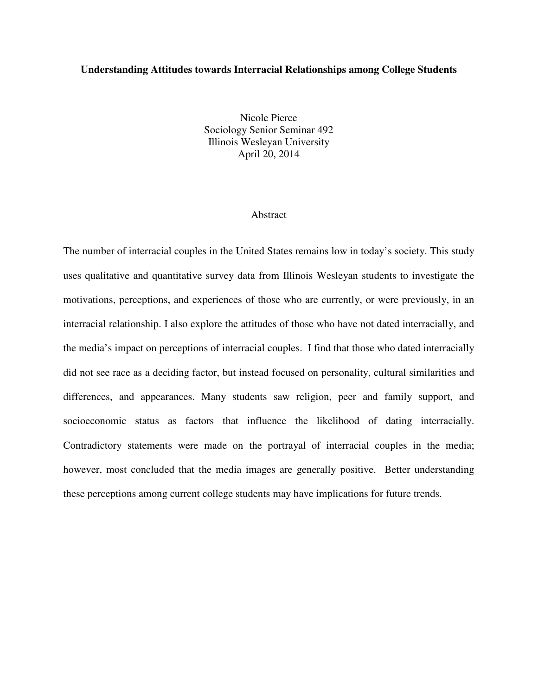### **Understanding Attitudes towards Interracial Relationships among College Students**

Nicole Pierce Sociology Senior Seminar 492 Illinois Wesleyan University April 20, 2014

#### Abstract

The number of interracial couples in the United States remains low in today's society. This study uses qualitative and quantitative survey data from Illinois Wesleyan students to investigate the motivations, perceptions, and experiences of those who are currently, or were previously, in an interracial relationship. I also explore the attitudes of those who have not dated interracially, and the media's impact on perceptions of interracial couples. I find that those who dated interracially did not see race as a deciding factor, but instead focused on personality, cultural similarities and differences, and appearances. Many students saw religion, peer and family support, and socioeconomic status as factors that influence the likelihood of dating interracially. Contradictory statements were made on the portrayal of interracial couples in the media; however, most concluded that the media images are generally positive. Better understanding these perceptions among current college students may have implications for future trends.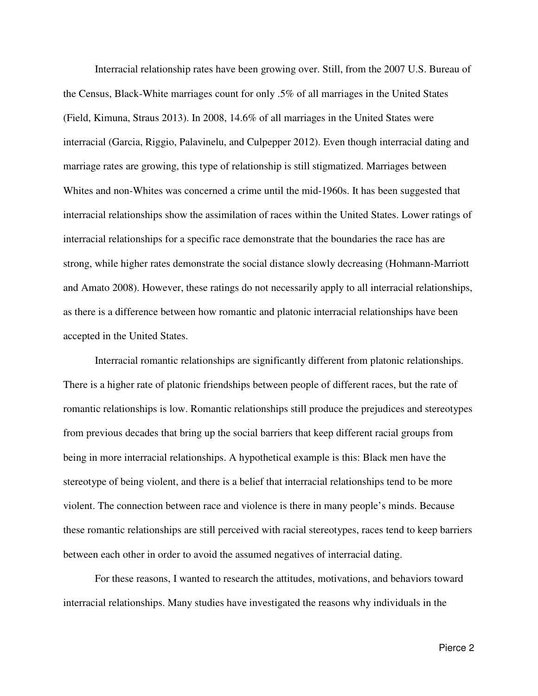Interracial relationship rates have been growing over. Still, from the 2007 U.S. Bureau of the Census, Black-White marriages count for only .5% of all marriages in the United States (Field, Kimuna, Straus 2013). In 2008, 14.6% of all marriages in the United States were interracial (Garcia, Riggio, Palavinelu, and Culpepper 2012). Even though interracial dating and marriage rates are growing, this type of relationship is still stigmatized. Marriages between Whites and non-Whites was concerned a crime until the mid-1960s. It has been suggested that interracial relationships show the assimilation of races within the United States. Lower ratings of interracial relationships for a specific race demonstrate that the boundaries the race has are strong, while higher rates demonstrate the social distance slowly decreasing (Hohmann-Marriott and Amato 2008). However, these ratings do not necessarily apply to all interracial relationships, as there is a difference between how romantic and platonic interracial relationships have been accepted in the United States.

 Interracial romantic relationships are significantly different from platonic relationships. There is a higher rate of platonic friendships between people of different races, but the rate of romantic relationships is low. Romantic relationships still produce the prejudices and stereotypes from previous decades that bring up the social barriers that keep different racial groups from being in more interracial relationships. A hypothetical example is this: Black men have the stereotype of being violent, and there is a belief that interracial relationships tend to be more violent. The connection between race and violence is there in many people's minds. Because these romantic relationships are still perceived with racial stereotypes, races tend to keep barriers between each other in order to avoid the assumed negatives of interracial dating.

 For these reasons, I wanted to research the attitudes, motivations, and behaviors toward interracial relationships. Many studies have investigated the reasons why individuals in the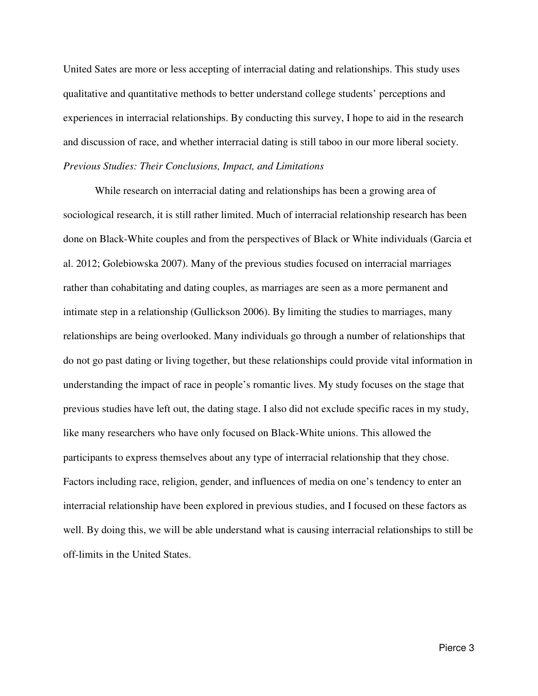United Sates are more or less accepting of interracial dating and relationships. This study uses qualitative and quantitative methods to better understand college students' perceptions and experiences in interracial relationships. By conducting this survey, I hope to aid in the research and discussion of race, and whether interracial dating is still taboo in our more liberal society. *Previous Studies: Their Conclusions, Impact, and Limitations* 

 While research on interracial dating and relationships has been a growing area of sociological research, it is still rather limited. Much of interracial relationship research has been done on Black-White couples and from the perspectives of Black or White individuals (Garcia et al. 2012; Golebiowska 2007). Many of the previous studies focused on interracial marriages rather than cohabitating and dating couples, as marriages are seen as a more permanent and intimate step in a relationship (Gullickson 2006). By limiting the studies to marriages, many relationships are being overlooked. Many individuals go through a number of relationships that do not go past dating or living together, but these relationships could provide vital information in understanding the impact of race in people's romantic lives. My study focuses on the stage that previous studies have left out, the dating stage. I also did not exclude specific races in my study, like many researchers who have only focused on Black-White unions. This allowed the participants to express themselves about any type of interracial relationship that they chose. Factors including race, religion, gender, and influences of media on one's tendency to enter an interracial relationship have been explored in previous studies, and I focused on these factors as well. By doing this, we will be able understand what is causing interracial relationships to still be off-limits in the United States.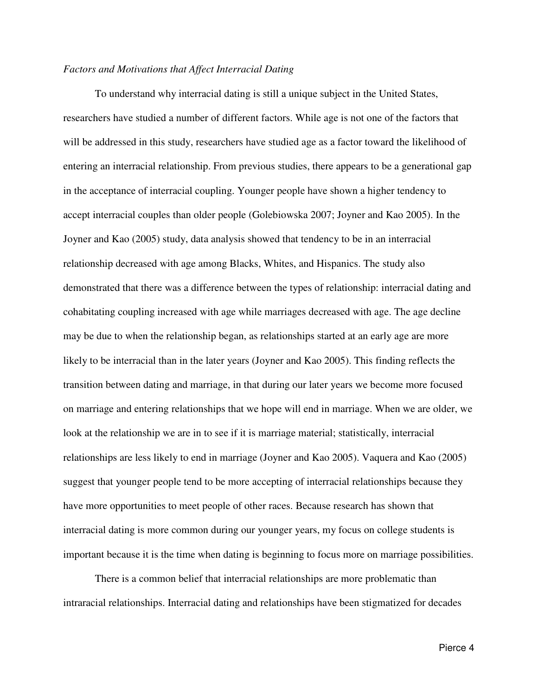#### *Factors and Motivations that Affect Interracial Dating*

 To understand why interracial dating is still a unique subject in the United States, researchers have studied a number of different factors. While age is not one of the factors that will be addressed in this study, researchers have studied age as a factor toward the likelihood of entering an interracial relationship. From previous studies, there appears to be a generational gap in the acceptance of interracial coupling. Younger people have shown a higher tendency to accept interracial couples than older people (Golebiowska 2007; Joyner and Kao 2005). In the Joyner and Kao (2005) study, data analysis showed that tendency to be in an interracial relationship decreased with age among Blacks, Whites, and Hispanics. The study also demonstrated that there was a difference between the types of relationship: interracial dating and cohabitating coupling increased with age while marriages decreased with age. The age decline may be due to when the relationship began, as relationships started at an early age are more likely to be interracial than in the later years (Joyner and Kao 2005). This finding reflects the transition between dating and marriage, in that during our later years we become more focused on marriage and entering relationships that we hope will end in marriage. When we are older, we look at the relationship we are in to see if it is marriage material; statistically, interracial relationships are less likely to end in marriage (Joyner and Kao 2005). Vaquera and Kao (2005) suggest that younger people tend to be more accepting of interracial relationships because they have more opportunities to meet people of other races. Because research has shown that interracial dating is more common during our younger years, my focus on college students is important because it is the time when dating is beginning to focus more on marriage possibilities.

 There is a common belief that interracial relationships are more problematic than intraracial relationships. Interracial dating and relationships have been stigmatized for decades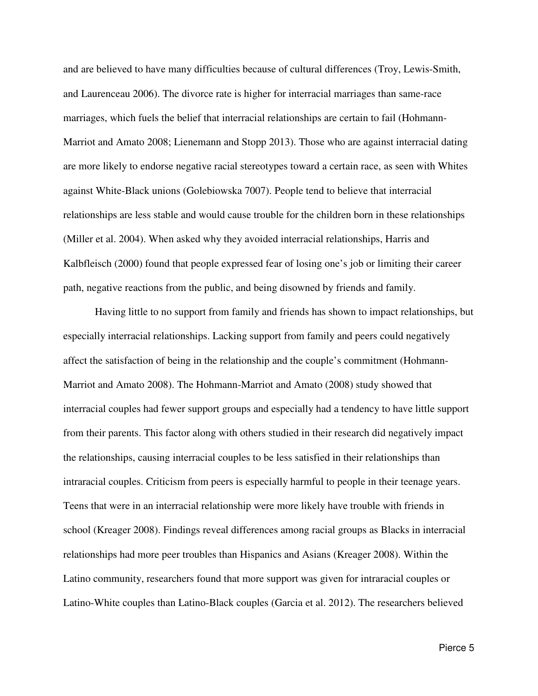and are believed to have many difficulties because of cultural differences (Troy, Lewis-Smith, and Laurenceau 2006). The divorce rate is higher for interracial marriages than same-race marriages, which fuels the belief that interracial relationships are certain to fail (Hohmann-Marriot and Amato 2008; Lienemann and Stopp 2013). Those who are against interracial dating are more likely to endorse negative racial stereotypes toward a certain race, as seen with Whites against White-Black unions (Golebiowska 7007). People tend to believe that interracial relationships are less stable and would cause trouble for the children born in these relationships (Miller et al. 2004). When asked why they avoided interracial relationships, Harris and Kalbfleisch (2000) found that people expressed fear of losing one's job or limiting their career path, negative reactions from the public, and being disowned by friends and family.

 Having little to no support from family and friends has shown to impact relationships, but especially interracial relationships. Lacking support from family and peers could negatively affect the satisfaction of being in the relationship and the couple's commitment (Hohmann-Marriot and Amato 2008). The Hohmann-Marriot and Amato (2008) study showed that interracial couples had fewer support groups and especially had a tendency to have little support from their parents. This factor along with others studied in their research did negatively impact the relationships, causing interracial couples to be less satisfied in their relationships than intraracial couples. Criticism from peers is especially harmful to people in their teenage years. Teens that were in an interracial relationship were more likely have trouble with friends in school (Kreager 2008). Findings reveal differences among racial groups as Blacks in interracial relationships had more peer troubles than Hispanics and Asians (Kreager 2008). Within the Latino community, researchers found that more support was given for intraracial couples or Latino-White couples than Latino-Black couples (Garcia et al. 2012). The researchers believed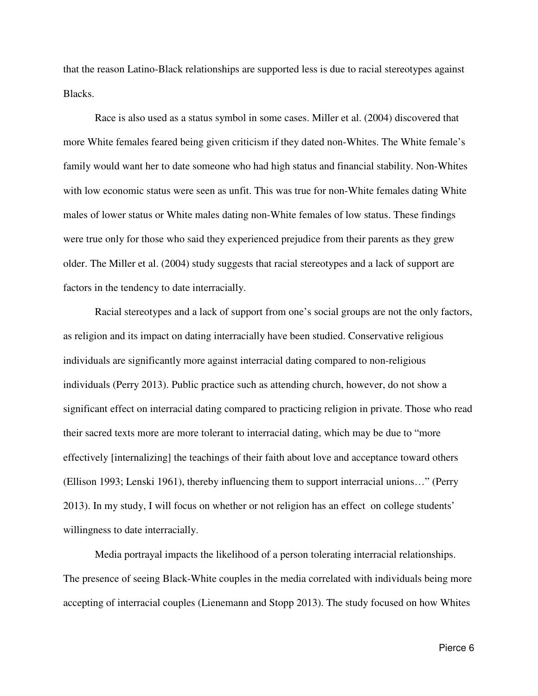that the reason Latino-Black relationships are supported less is due to racial stereotypes against Blacks.

 Race is also used as a status symbol in some cases. Miller et al. (2004) discovered that more White females feared being given criticism if they dated non-Whites. The White female's family would want her to date someone who had high status and financial stability. Non-Whites with low economic status were seen as unfit. This was true for non-White females dating White males of lower status or White males dating non-White females of low status. These findings were true only for those who said they experienced prejudice from their parents as they grew older. The Miller et al. (2004) study suggests that racial stereotypes and a lack of support are factors in the tendency to date interracially.

 Racial stereotypes and a lack of support from one's social groups are not the only factors, as religion and its impact on dating interracially have been studied. Conservative religious individuals are significantly more against interracial dating compared to non-religious individuals (Perry 2013). Public practice such as attending church, however, do not show a significant effect on interracial dating compared to practicing religion in private. Those who read their sacred texts more are more tolerant to interracial dating, which may be due to "more effectively [internalizing] the teachings of their faith about love and acceptance toward others (Ellison 1993; Lenski 1961), thereby influencing them to support interracial unions…" (Perry 2013). In my study, I will focus on whether or not religion has an effect on college students' willingness to date interracially.

 Media portrayal impacts the likelihood of a person tolerating interracial relationships. The presence of seeing Black-White couples in the media correlated with individuals being more accepting of interracial couples (Lienemann and Stopp 2013). The study focused on how Whites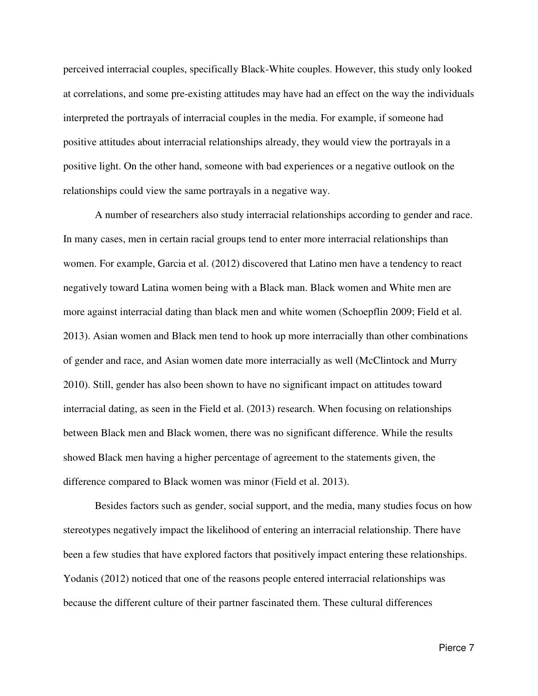perceived interracial couples, specifically Black-White couples. However, this study only looked at correlations, and some pre-existing attitudes may have had an effect on the way the individuals interpreted the portrayals of interracial couples in the media. For example, if someone had positive attitudes about interracial relationships already, they would view the portrayals in a positive light. On the other hand, someone with bad experiences or a negative outlook on the relationships could view the same portrayals in a negative way.

A number of researchers also study interracial relationships according to gender and race. In many cases, men in certain racial groups tend to enter more interracial relationships than women. For example, Garcia et al. (2012) discovered that Latino men have a tendency to react negatively toward Latina women being with a Black man. Black women and White men are more against interracial dating than black men and white women (Schoepflin 2009; Field et al. 2013). Asian women and Black men tend to hook up more interracially than other combinations of gender and race, and Asian women date more interracially as well (McClintock and Murry 2010). Still, gender has also been shown to have no significant impact on attitudes toward interracial dating, as seen in the Field et al. (2013) research. When focusing on relationships between Black men and Black women, there was no significant difference. While the results showed Black men having a higher percentage of agreement to the statements given, the difference compared to Black women was minor (Field et al. 2013).

Besides factors such as gender, social support, and the media, many studies focus on how stereotypes negatively impact the likelihood of entering an interracial relationship. There have been a few studies that have explored factors that positively impact entering these relationships. Yodanis (2012) noticed that one of the reasons people entered interracial relationships was because the different culture of their partner fascinated them. These cultural differences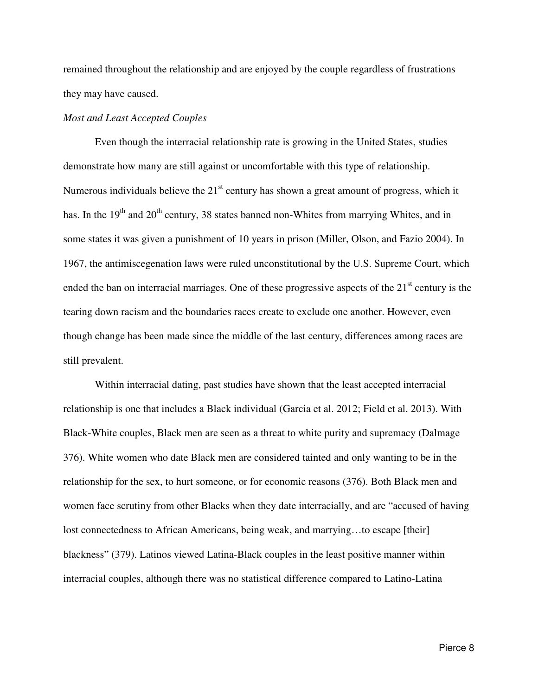remained throughout the relationship and are enjoyed by the couple regardless of frustrations they may have caused.

## *Most and Least Accepted Couples*

Even though the interracial relationship rate is growing in the United States, studies demonstrate how many are still against or uncomfortable with this type of relationship. Numerous individuals believe the  $21<sup>st</sup>$  century has shown a great amount of progress, which it has. In the  $19<sup>th</sup>$  and  $20<sup>th</sup>$  century, 38 states banned non-Whites from marrying Whites, and in some states it was given a punishment of 10 years in prison (Miller, Olson, and Fazio 2004). In 1967, the antimiscegenation laws were ruled unconstitutional by the U.S. Supreme Court, which ended the ban on interracial marriages. One of these progressive aspects of the  $21<sup>st</sup>$  century is the tearing down racism and the boundaries races create to exclude one another. However, even though change has been made since the middle of the last century, differences among races are still prevalent.

Within interracial dating, past studies have shown that the least accepted interracial relationship is one that includes a Black individual (Garcia et al. 2012; Field et al. 2013). With Black-White couples, Black men are seen as a threat to white purity and supremacy (Dalmage 376). White women who date Black men are considered tainted and only wanting to be in the relationship for the sex, to hurt someone, or for economic reasons (376). Both Black men and women face scrutiny from other Blacks when they date interracially, and are "accused of having lost connectedness to African Americans, being weak, and marrying…to escape [their] blackness" (379). Latinos viewed Latina-Black couples in the least positive manner within interracial couples, although there was no statistical difference compared to Latino-Latina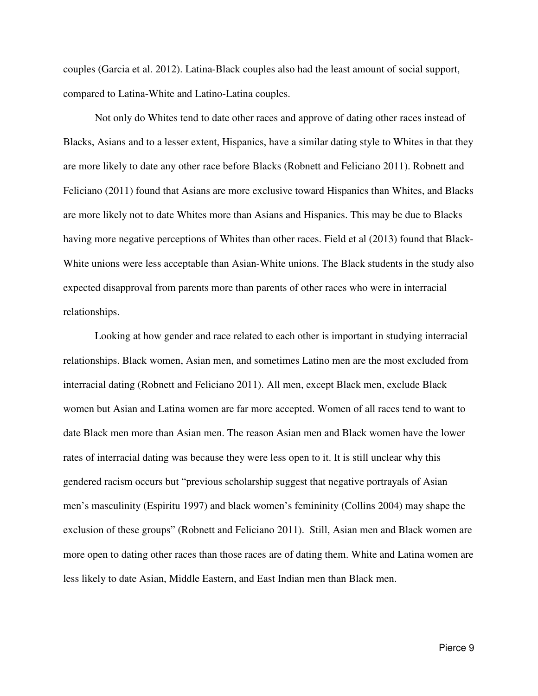couples (Garcia et al. 2012). Latina-Black couples also had the least amount of social support, compared to Latina-White and Latino-Latina couples.

 Not only do Whites tend to date other races and approve of dating other races instead of Blacks, Asians and to a lesser extent, Hispanics, have a similar dating style to Whites in that they are more likely to date any other race before Blacks (Robnett and Feliciano 2011). Robnett and Feliciano (2011) found that Asians are more exclusive toward Hispanics than Whites, and Blacks are more likely not to date Whites more than Asians and Hispanics. This may be due to Blacks having more negative perceptions of Whites than other races. Field et al (2013) found that Black-White unions were less acceptable than Asian-White unions. The Black students in the study also expected disapproval from parents more than parents of other races who were in interracial relationships.

 Looking at how gender and race related to each other is important in studying interracial relationships. Black women, Asian men, and sometimes Latino men are the most excluded from interracial dating (Robnett and Feliciano 2011). All men, except Black men, exclude Black women but Asian and Latina women are far more accepted. Women of all races tend to want to date Black men more than Asian men. The reason Asian men and Black women have the lower rates of interracial dating was because they were less open to it. It is still unclear why this gendered racism occurs but "previous scholarship suggest that negative portrayals of Asian men's masculinity (Espiritu 1997) and black women's femininity (Collins 2004) may shape the exclusion of these groups" (Robnett and Feliciano 2011). Still, Asian men and Black women are more open to dating other races than those races are of dating them. White and Latina women are less likely to date Asian, Middle Eastern, and East Indian men than Black men.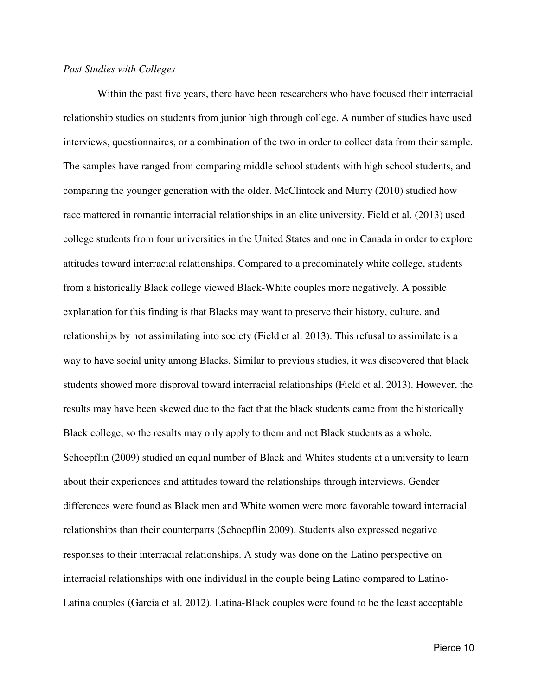#### *Past Studies with Colleges*

 Within the past five years, there have been researchers who have focused their interracial relationship studies on students from junior high through college. A number of studies have used interviews, questionnaires, or a combination of the two in order to collect data from their sample. The samples have ranged from comparing middle school students with high school students, and comparing the younger generation with the older. McClintock and Murry (2010) studied how race mattered in romantic interracial relationships in an elite university. Field et al. (2013) used college students from four universities in the United States and one in Canada in order to explore attitudes toward interracial relationships. Compared to a predominately white college, students from a historically Black college viewed Black-White couples more negatively. A possible explanation for this finding is that Blacks may want to preserve their history, culture, and relationships by not assimilating into society (Field et al. 2013). This refusal to assimilate is a way to have social unity among Blacks. Similar to previous studies, it was discovered that black students showed more disproval toward interracial relationships (Field et al. 2013). However, the results may have been skewed due to the fact that the black students came from the historically Black college, so the results may only apply to them and not Black students as a whole. Schoepflin (2009) studied an equal number of Black and Whites students at a university to learn about their experiences and attitudes toward the relationships through interviews. Gender differences were found as Black men and White women were more favorable toward interracial relationships than their counterparts (Schoepflin 2009). Students also expressed negative responses to their interracial relationships. A study was done on the Latino perspective on interracial relationships with one individual in the couple being Latino compared to Latino-Latina couples (Garcia et al. 2012). Latina-Black couples were found to be the least acceptable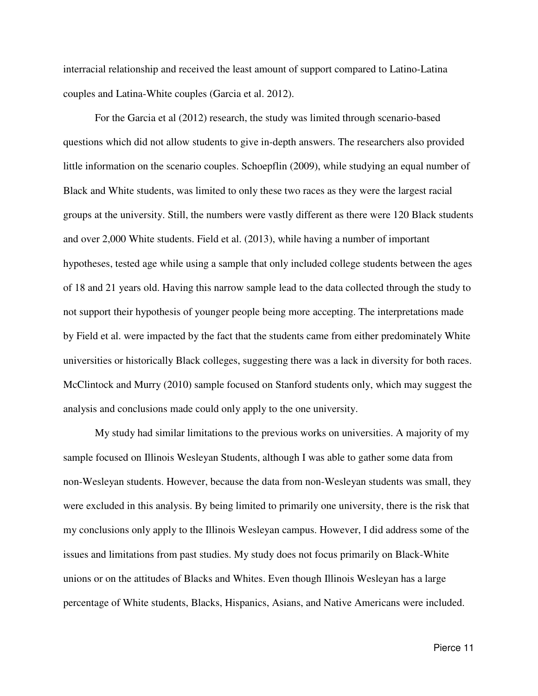interracial relationship and received the least amount of support compared to Latino-Latina couples and Latina-White couples (Garcia et al. 2012).

 For the Garcia et al (2012) research, the study was limited through scenario-based questions which did not allow students to give in-depth answers. The researchers also provided little information on the scenario couples. Schoepflin (2009), while studying an equal number of Black and White students, was limited to only these two races as they were the largest racial groups at the university. Still, the numbers were vastly different as there were 120 Black students and over 2,000 White students. Field et al. (2013), while having a number of important hypotheses, tested age while using a sample that only included college students between the ages of 18 and 21 years old. Having this narrow sample lead to the data collected through the study to not support their hypothesis of younger people being more accepting. The interpretations made by Field et al. were impacted by the fact that the students came from either predominately White universities or historically Black colleges, suggesting there was a lack in diversity for both races. McClintock and Murry (2010) sample focused on Stanford students only, which may suggest the analysis and conclusions made could only apply to the one university.

My study had similar limitations to the previous works on universities. A majority of my sample focused on Illinois Wesleyan Students, although I was able to gather some data from non-Wesleyan students. However, because the data from non-Wesleyan students was small, they were excluded in this analysis. By being limited to primarily one university, there is the risk that my conclusions only apply to the Illinois Wesleyan campus. However, I did address some of the issues and limitations from past studies. My study does not focus primarily on Black-White unions or on the attitudes of Blacks and Whites. Even though Illinois Wesleyan has a large percentage of White students, Blacks, Hispanics, Asians, and Native Americans were included.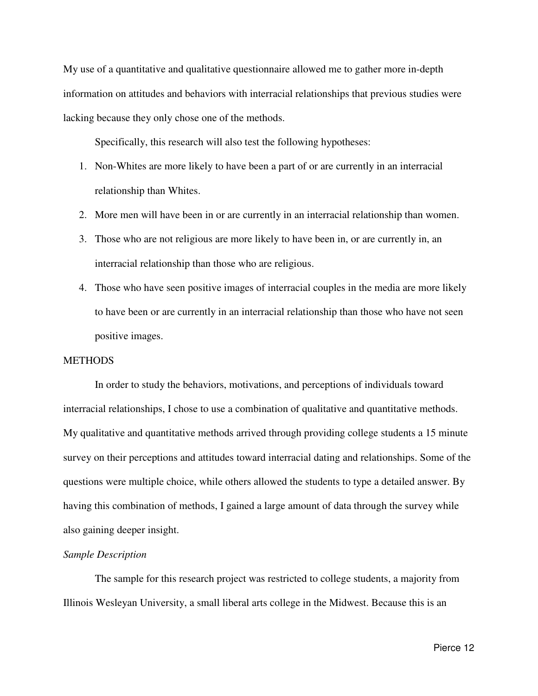My use of a quantitative and qualitative questionnaire allowed me to gather more in-depth information on attitudes and behaviors with interracial relationships that previous studies were lacking because they only chose one of the methods.

Specifically, this research will also test the following hypotheses:

- 1. Non-Whites are more likely to have been a part of or are currently in an interracial relationship than Whites.
- 2. More men will have been in or are currently in an interracial relationship than women.
- 3. Those who are not religious are more likely to have been in, or are currently in, an interracial relationship than those who are religious.
- 4. Those who have seen positive images of interracial couples in the media are more likely to have been or are currently in an interracial relationship than those who have not seen positive images.

#### **METHODS**

In order to study the behaviors, motivations, and perceptions of individuals toward interracial relationships, I chose to use a combination of qualitative and quantitative methods. My qualitative and quantitative methods arrived through providing college students a 15 minute survey on their perceptions and attitudes toward interracial dating and relationships. Some of the questions were multiple choice, while others allowed the students to type a detailed answer. By having this combination of methods, I gained a large amount of data through the survey while also gaining deeper insight.

#### *Sample Description*

 The sample for this research project was restricted to college students, a majority from Illinois Wesleyan University, a small liberal arts college in the Midwest. Because this is an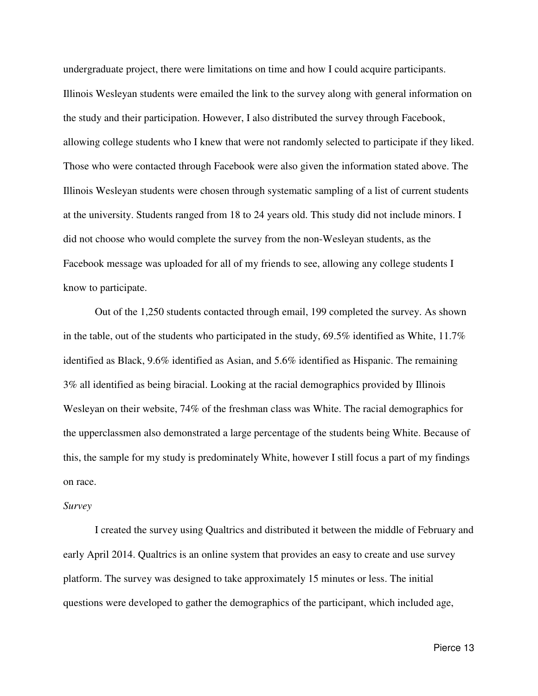undergraduate project, there were limitations on time and how I could acquire participants. Illinois Wesleyan students were emailed the link to the survey along with general information on the study and their participation. However, I also distributed the survey through Facebook, allowing college students who I knew that were not randomly selected to participate if they liked. Those who were contacted through Facebook were also given the information stated above. The Illinois Wesleyan students were chosen through systematic sampling of a list of current students at the university. Students ranged from 18 to 24 years old. This study did not include minors. I did not choose who would complete the survey from the non-Wesleyan students, as the Facebook message was uploaded for all of my friends to see, allowing any college students I know to participate.

Out of the 1,250 students contacted through email, 199 completed the survey. As shown in the table, out of the students who participated in the study, 69.5% identified as White, 11.7% identified as Black, 9.6% identified as Asian, and 5.6% identified as Hispanic. The remaining 3% all identified as being biracial. Looking at the racial demographics provided by Illinois Wesleyan on their website, 74% of the freshman class was White. The racial demographics for the upperclassmen also demonstrated a large percentage of the students being White. Because of this, the sample for my study is predominately White, however I still focus a part of my findings on race.

#### *Survey*

I created the survey using Qualtrics and distributed it between the middle of February and early April 2014. Qualtrics is an online system that provides an easy to create and use survey platform. The survey was designed to take approximately 15 minutes or less. The initial questions were developed to gather the demographics of the participant, which included age,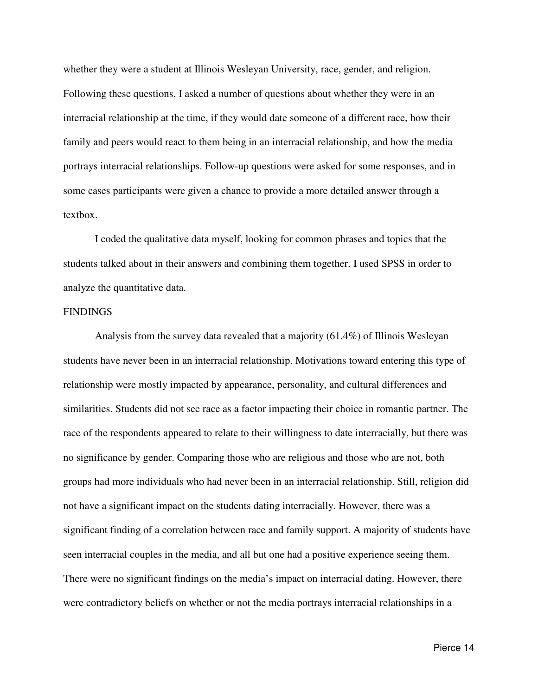whether they were a student at Illinois Wesleyan University, race, gender, and religion. Following these questions, I asked a number of questions about whether they were in an interracial relationship at the time, if they would date someone of a different race, how their family and peers would react to them being in an interracial relationship, and how the media portrays interracial relationships. Follow-up questions were asked for some responses, and in some cases participants were given a chance to provide a more detailed answer through a textbox.

I coded the qualitative data myself, looking for common phrases and topics that the students talked about in their answers and combining them together. I used SPSS in order to analyze the quantitative data.

#### FINDINGS

Analysis from the survey data revealed that a majority (61.4%) of Illinois Wesleyan students have never been in an interracial relationship. Motivations toward entering this type of relationship were mostly impacted by appearance, personality, and cultural differences and similarities. Students did not see race as a factor impacting their choice in romantic partner. The race of the respondents appeared to relate to their willingness to date interracially, but there was no significance by gender. Comparing those who are religious and those who are not, both groups had more individuals who had never been in an interracial relationship. Still, religion did not have a significant impact on the students dating interracially. However, there was a significant finding of a correlation between race and family support. A majority of students have seen interracial couples in the media, and all but one had a positive experience seeing them. There were no significant findings on the media's impact on interracial dating. However, there were contradictory beliefs on whether or not the media portrays interracial relationships in a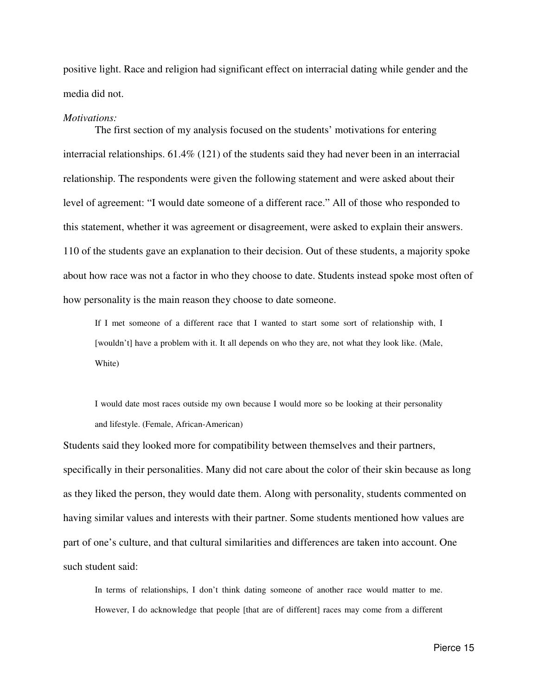positive light. Race and religion had significant effect on interracial dating while gender and the media did not.

#### *Motivations:*

 The first section of my analysis focused on the students' motivations for entering interracial relationships. 61.4% (121) of the students said they had never been in an interracial relationship. The respondents were given the following statement and were asked about their level of agreement: "I would date someone of a different race." All of those who responded to this statement, whether it was agreement or disagreement, were asked to explain their answers. 110 of the students gave an explanation to their decision. Out of these students, a majority spoke about how race was not a factor in who they choose to date. Students instead spoke most often of how personality is the main reason they choose to date someone.

 If I met someone of a different race that I wanted to start some sort of relationship with, I [wouldn't] have a problem with it. It all depends on who they are, not what they look like. (Male, White)

 I would date most races outside my own because I would more so be looking at their personality and lifestyle. (Female, African-American)

Students said they looked more for compatibility between themselves and their partners, specifically in their personalities. Many did not care about the color of their skin because as long as they liked the person, they would date them. Along with personality, students commented on having similar values and interests with their partner. Some students mentioned how values are part of one's culture, and that cultural similarities and differences are taken into account. One such student said:

In terms of relationships, I don't think dating someone of another race would matter to me. However, I do acknowledge that people [that are of different] races may come from a different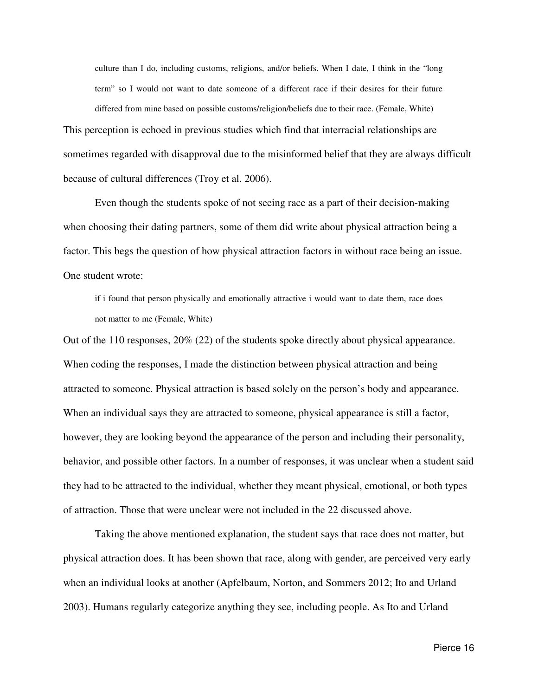culture than I do, including customs, religions, and/or beliefs. When I date, I think in the "long term" so I would not want to date someone of a different race if their desires for their future differed from mine based on possible customs/religion/beliefs due to their race. (Female, White) This perception is echoed in previous studies which find that interracial relationships are sometimes regarded with disapproval due to the misinformed belief that they are always difficult because of cultural differences (Troy et al. 2006).

Even though the students spoke of not seeing race as a part of their decision-making when choosing their dating partners, some of them did write about physical attraction being a factor. This begs the question of how physical attraction factors in without race being an issue. One student wrote:

if i found that person physically and emotionally attractive i would want to date them, race does not matter to me (Female, White)

Out of the 110 responses, 20% (22) of the students spoke directly about physical appearance. When coding the responses, I made the distinction between physical attraction and being attracted to someone. Physical attraction is based solely on the person's body and appearance. When an individual says they are attracted to someone, physical appearance is still a factor, however, they are looking beyond the appearance of the person and including their personality, behavior, and possible other factors. In a number of responses, it was unclear when a student said they had to be attracted to the individual, whether they meant physical, emotional, or both types of attraction. Those that were unclear were not included in the 22 discussed above.

 Taking the above mentioned explanation, the student says that race does not matter, but physical attraction does. It has been shown that race, along with gender, are perceived very early when an individual looks at another (Apfelbaum, Norton, and Sommers 2012; Ito and Urland 2003). Humans regularly categorize anything they see, including people. As Ito and Urland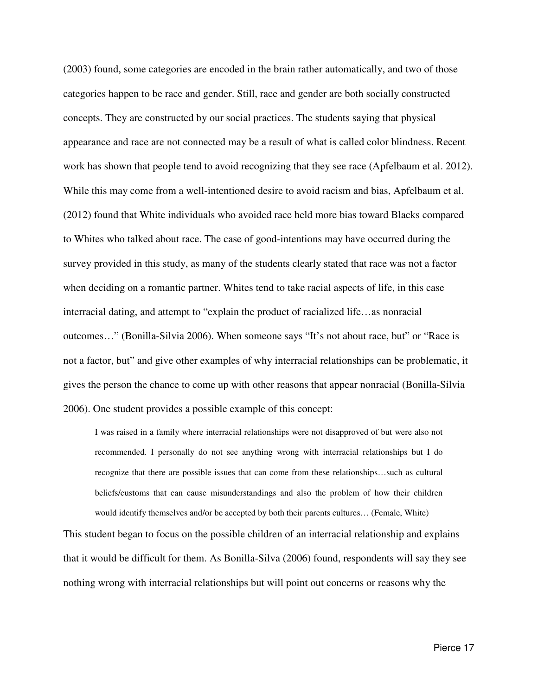(2003) found, some categories are encoded in the brain rather automatically, and two of those categories happen to be race and gender. Still, race and gender are both socially constructed concepts. They are constructed by our social practices. The students saying that physical appearance and race are not connected may be a result of what is called color blindness. Recent work has shown that people tend to avoid recognizing that they see race (Apfelbaum et al. 2012). While this may come from a well-intentioned desire to avoid racism and bias, Apfelbaum et al. (2012) found that White individuals who avoided race held more bias toward Blacks compared to Whites who talked about race. The case of good-intentions may have occurred during the survey provided in this study, as many of the students clearly stated that race was not a factor when deciding on a romantic partner. Whites tend to take racial aspects of life, in this case interracial dating, and attempt to "explain the product of racialized life…as nonracial outcomes…" (Bonilla-Silvia 2006). When someone says "It's not about race, but" or "Race is not a factor, but" and give other examples of why interracial relationships can be problematic, it gives the person the chance to come up with other reasons that appear nonracial (Bonilla-Silvia 2006). One student provides a possible example of this concept:

I was raised in a family where interracial relationships were not disapproved of but were also not recommended. I personally do not see anything wrong with interracial relationships but I do recognize that there are possible issues that can come from these relationships…such as cultural beliefs/customs that can cause misunderstandings and also the problem of how their children would identify themselves and/or be accepted by both their parents cultures… (Female, White)

This student began to focus on the possible children of an interracial relationship and explains that it would be difficult for them. As Bonilla-Silva (2006) found, respondents will say they see nothing wrong with interracial relationships but will point out concerns or reasons why the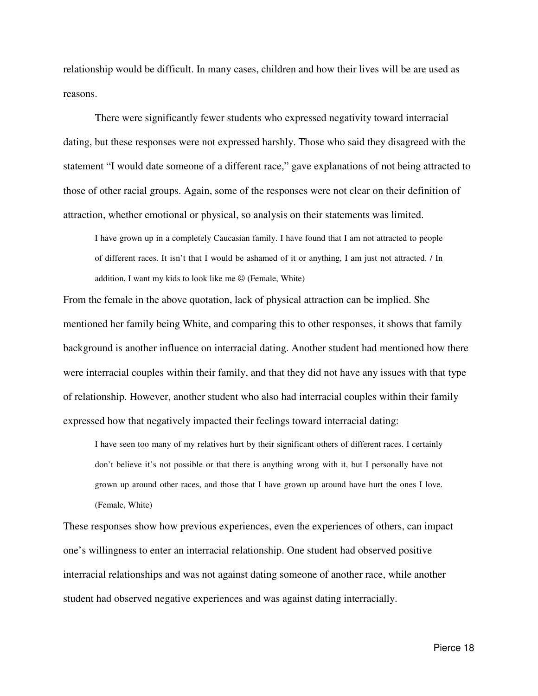relationship would be difficult. In many cases, children and how their lives will be are used as reasons.

 There were significantly fewer students who expressed negativity toward interracial dating, but these responses were not expressed harshly. Those who said they disagreed with the statement "I would date someone of a different race," gave explanations of not being attracted to those of other racial groups. Again, some of the responses were not clear on their definition of attraction, whether emotional or physical, so analysis on their statements was limited.

I have grown up in a completely Caucasian family. I have found that I am not attracted to people of different races. It isn't that I would be ashamed of it or anything, I am just not attracted. / In addition, I want my kids to look like me  $\odot$  (Female, White)

From the female in the above quotation, lack of physical attraction can be implied. She mentioned her family being White, and comparing this to other responses, it shows that family background is another influence on interracial dating. Another student had mentioned how there were interracial couples within their family, and that they did not have any issues with that type of relationship. However, another student who also had interracial couples within their family expressed how that negatively impacted their feelings toward interracial dating:

I have seen too many of my relatives hurt by their significant others of different races. I certainly don't believe it's not possible or that there is anything wrong with it, but I personally have not grown up around other races, and those that I have grown up around have hurt the ones I love. (Female, White)

These responses show how previous experiences, even the experiences of others, can impact one's willingness to enter an interracial relationship. One student had observed positive interracial relationships and was not against dating someone of another race, while another student had observed negative experiences and was against dating interracially.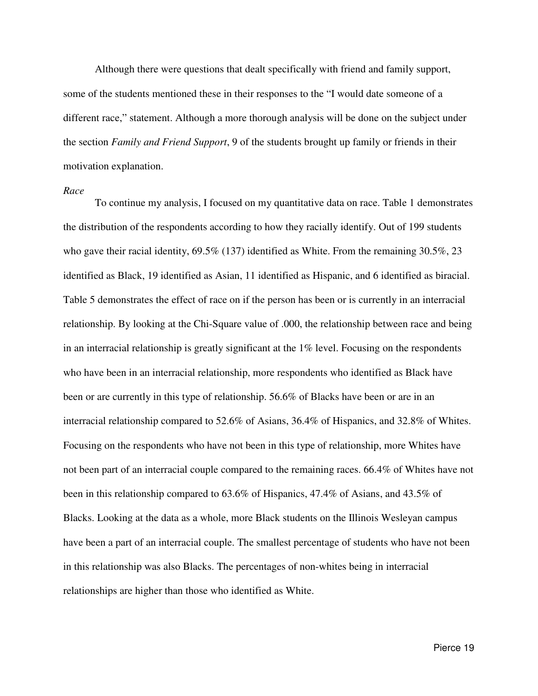Although there were questions that dealt specifically with friend and family support, some of the students mentioned these in their responses to the "I would date someone of a different race," statement. Although a more thorough analysis will be done on the subject under the section *Family and Friend Support*, 9 of the students brought up family or friends in their motivation explanation.

#### *Race*

 To continue my analysis, I focused on my quantitative data on race. Table 1 demonstrates the distribution of the respondents according to how they racially identify. Out of 199 students who gave their racial identity, 69.5% (137) identified as White. From the remaining 30.5%, 23 identified as Black, 19 identified as Asian, 11 identified as Hispanic, and 6 identified as biracial. Table 5 demonstrates the effect of race on if the person has been or is currently in an interracial relationship. By looking at the Chi-Square value of .000, the relationship between race and being in an interracial relationship is greatly significant at the  $1\%$  level. Focusing on the respondents who have been in an interracial relationship, more respondents who identified as Black have been or are currently in this type of relationship. 56.6% of Blacks have been or are in an interracial relationship compared to 52.6% of Asians, 36.4% of Hispanics, and 32.8% of Whites. Focusing on the respondents who have not been in this type of relationship, more Whites have not been part of an interracial couple compared to the remaining races. 66.4% of Whites have not been in this relationship compared to 63.6% of Hispanics, 47.4% of Asians, and 43.5% of Blacks. Looking at the data as a whole, more Black students on the Illinois Wesleyan campus have been a part of an interracial couple. The smallest percentage of students who have not been in this relationship was also Blacks. The percentages of non-whites being in interracial relationships are higher than those who identified as White.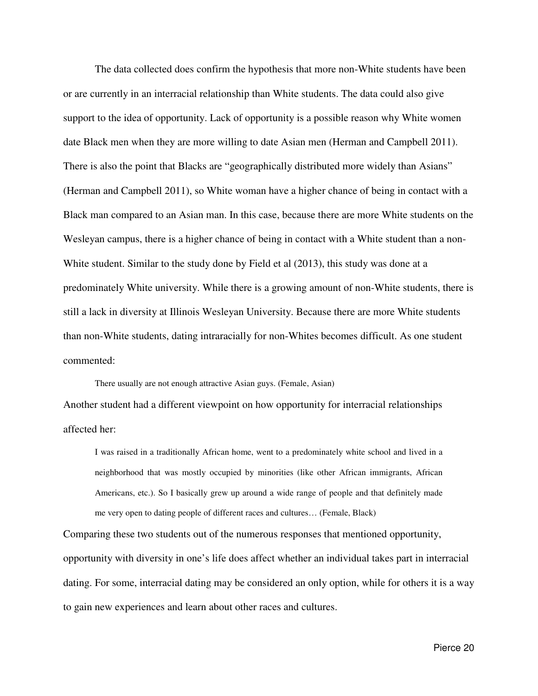The data collected does confirm the hypothesis that more non-White students have been or are currently in an interracial relationship than White students. The data could also give support to the idea of opportunity. Lack of opportunity is a possible reason why White women date Black men when they are more willing to date Asian men (Herman and Campbell 2011). There is also the point that Blacks are "geographically distributed more widely than Asians" (Herman and Campbell 2011), so White woman have a higher chance of being in contact with a Black man compared to an Asian man. In this case, because there are more White students on the Wesleyan campus, there is a higher chance of being in contact with a White student than a non-White student. Similar to the study done by Field et al (2013), this study was done at a predominately White university. While there is a growing amount of non-White students, there is still a lack in diversity at Illinois Wesleyan University. Because there are more White students than non-White students, dating intraracially for non-Whites becomes difficult. As one student commented:

There usually are not enough attractive Asian guys. (Female, Asian) Another student had a different viewpoint on how opportunity for interracial relationships affected her:

I was raised in a traditionally African home, went to a predominately white school and lived in a neighborhood that was mostly occupied by minorities (like other African immigrants, African Americans, etc.). So I basically grew up around a wide range of people and that definitely made me very open to dating people of different races and cultures… (Female, Black)

Comparing these two students out of the numerous responses that mentioned opportunity, opportunity with diversity in one's life does affect whether an individual takes part in interracial dating. For some, interracial dating may be considered an only option, while for others it is a way to gain new experiences and learn about other races and cultures.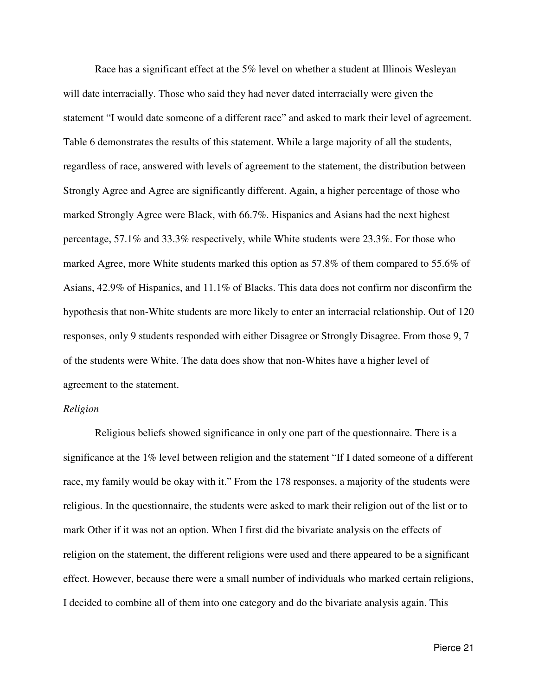Race has a significant effect at the 5% level on whether a student at Illinois Wesleyan will date interracially. Those who said they had never dated interracially were given the statement "I would date someone of a different race" and asked to mark their level of agreement. Table 6 demonstrates the results of this statement. While a large majority of all the students, regardless of race, answered with levels of agreement to the statement, the distribution between Strongly Agree and Agree are significantly different. Again, a higher percentage of those who marked Strongly Agree were Black, with 66.7%. Hispanics and Asians had the next highest percentage, 57.1% and 33.3% respectively, while White students were 23.3%. For those who marked Agree, more White students marked this option as 57.8% of them compared to 55.6% of Asians, 42.9% of Hispanics, and 11.1% of Blacks. This data does not confirm nor disconfirm the hypothesis that non-White students are more likely to enter an interracial relationship. Out of 120 responses, only 9 students responded with either Disagree or Strongly Disagree. From those 9, 7 of the students were White. The data does show that non-Whites have a higher level of agreement to the statement.

## *Religion*

 Religious beliefs showed significance in only one part of the questionnaire. There is a significance at the 1% level between religion and the statement "If I dated someone of a different race, my family would be okay with it." From the 178 responses, a majority of the students were religious. In the questionnaire, the students were asked to mark their religion out of the list or to mark Other if it was not an option. When I first did the bivariate analysis on the effects of religion on the statement, the different religions were used and there appeared to be a significant effect. However, because there were a small number of individuals who marked certain religions, I decided to combine all of them into one category and do the bivariate analysis again. This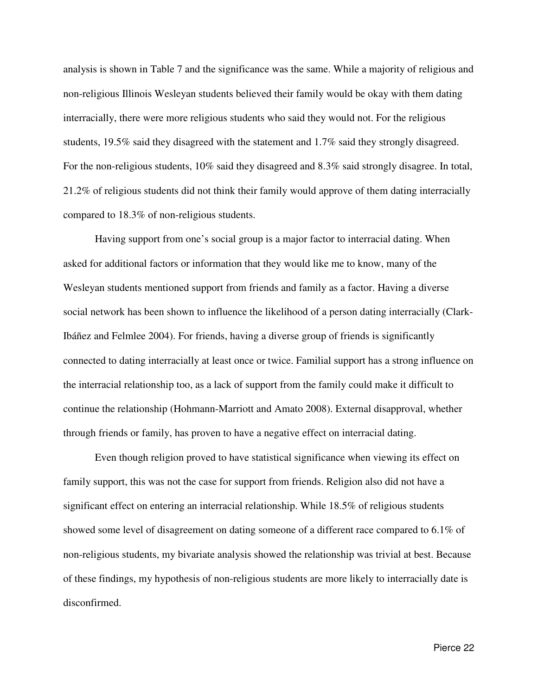analysis is shown in Table 7 and the significance was the same. While a majority of religious and non-religious Illinois Wesleyan students believed their family would be okay with them dating interracially, there were more religious students who said they would not. For the religious students, 19.5% said they disagreed with the statement and 1.7% said they strongly disagreed. For the non-religious students, 10% said they disagreed and 8.3% said strongly disagree. In total, 21.2% of religious students did not think their family would approve of them dating interracially compared to 18.3% of non-religious students.

 Having support from one's social group is a major factor to interracial dating. When asked for additional factors or information that they would like me to know, many of the Wesleyan students mentioned support from friends and family as a factor. Having a diverse social network has been shown to influence the likelihood of a person dating interracially (Clark-Ibáñez and Felmlee 2004). For friends, having a diverse group of friends is significantly connected to dating interracially at least once or twice. Familial support has a strong influence on the interracial relationship too, as a lack of support from the family could make it difficult to continue the relationship (Hohmann-Marriott and Amato 2008). External disapproval, whether through friends or family, has proven to have a negative effect on interracial dating.

 Even though religion proved to have statistical significance when viewing its effect on family support, this was not the case for support from friends. Religion also did not have a significant effect on entering an interracial relationship. While 18.5% of religious students showed some level of disagreement on dating someone of a different race compared to 6.1% of non-religious students, my bivariate analysis showed the relationship was trivial at best. Because of these findings, my hypothesis of non-religious students are more likely to interracially date is disconfirmed.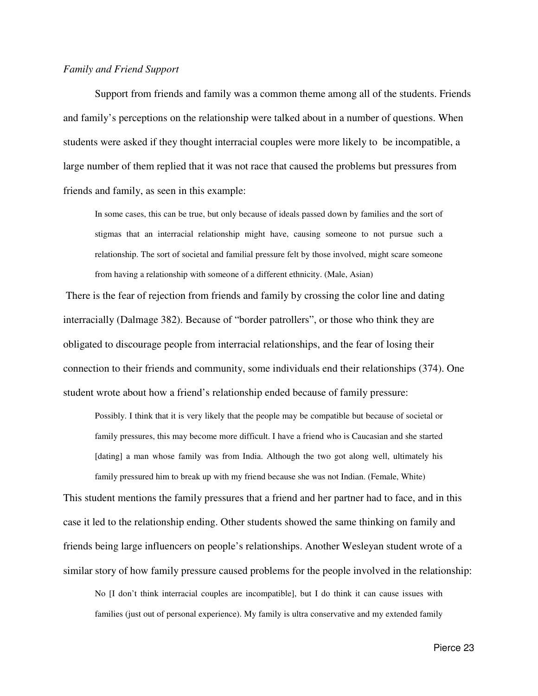## *Family and Friend Support*

 Support from friends and family was a common theme among all of the students. Friends and family's perceptions on the relationship were talked about in a number of questions. When students were asked if they thought interracial couples were more likely to be incompatible, a large number of them replied that it was not race that caused the problems but pressures from friends and family, as seen in this example:

In some cases, this can be true, but only because of ideals passed down by families and the sort of stigmas that an interracial relationship might have, causing someone to not pursue such a relationship. The sort of societal and familial pressure felt by those involved, might scare someone from having a relationship with someone of a different ethnicity. (Male, Asian)

 There is the fear of rejection from friends and family by crossing the color line and dating interracially (Dalmage 382). Because of "border patrollers", or those who think they are obligated to discourage people from interracial relationships, and the fear of losing their connection to their friends and community, some individuals end their relationships (374). One student wrote about how a friend's relationship ended because of family pressure:

Possibly. I think that it is very likely that the people may be compatible but because of societal or family pressures, this may become more difficult. I have a friend who is Caucasian and she started [dating] a man whose family was from India. Although the two got along well, ultimately his family pressured him to break up with my friend because she was not Indian. (Female, White)

This student mentions the family pressures that a friend and her partner had to face, and in this case it led to the relationship ending. Other students showed the same thinking on family and friends being large influencers on people's relationships. Another Wesleyan student wrote of a similar story of how family pressure caused problems for the people involved in the relationship:

No [I don't think interracial couples are incompatible], but I do think it can cause issues with families (just out of personal experience). My family is ultra conservative and my extended family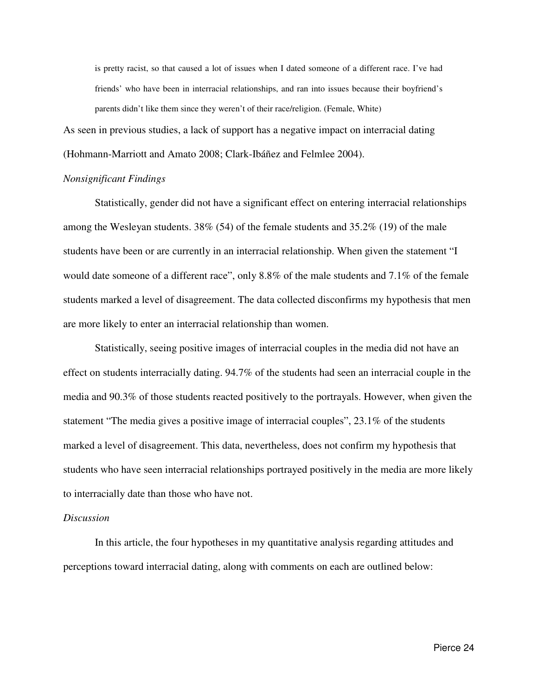is pretty racist, so that caused a lot of issues when I dated someone of a different race. I've had friends' who have been in interracial relationships, and ran into issues because their boyfriend's parents didn't like them since they weren't of their race/religion. (Female, White)

As seen in previous studies, a lack of support has a negative impact on interracial dating (Hohmann-Marriott and Amato 2008; Clark-Ibáñez and Felmlee 2004).

#### *Nonsignificant Findings*

 Statistically, gender did not have a significant effect on entering interracial relationships among the Wesleyan students. 38% (54) of the female students and 35.2% (19) of the male students have been or are currently in an interracial relationship. When given the statement "I would date someone of a different race", only 8.8% of the male students and 7.1% of the female students marked a level of disagreement. The data collected disconfirms my hypothesis that men are more likely to enter an interracial relationship than women.

 Statistically, seeing positive images of interracial couples in the media did not have an effect on students interracially dating. 94.7% of the students had seen an interracial couple in the media and 90.3% of those students reacted positively to the portrayals. However, when given the statement "The media gives a positive image of interracial couples", 23.1% of the students marked a level of disagreement. This data, nevertheless, does not confirm my hypothesis that students who have seen interracial relationships portrayed positively in the media are more likely to interracially date than those who have not.

#### *Discussion*

 In this article, the four hypotheses in my quantitative analysis regarding attitudes and perceptions toward interracial dating, along with comments on each are outlined below: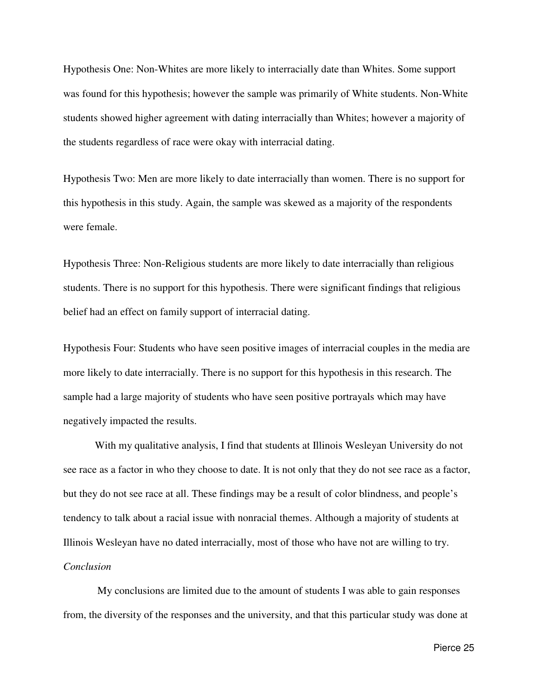Hypothesis One: Non-Whites are more likely to interracially date than Whites. Some support was found for this hypothesis; however the sample was primarily of White students. Non-White students showed higher agreement with dating interracially than Whites; however a majority of the students regardless of race were okay with interracial dating.

Hypothesis Two: Men are more likely to date interracially than women. There is no support for this hypothesis in this study. Again, the sample was skewed as a majority of the respondents were female.

Hypothesis Three: Non-Religious students are more likely to date interracially than religious students. There is no support for this hypothesis. There were significant findings that religious belief had an effect on family support of interracial dating.

Hypothesis Four: Students who have seen positive images of interracial couples in the media are more likely to date interracially. There is no support for this hypothesis in this research. The sample had a large majority of students who have seen positive portrayals which may have negatively impacted the results.

 With my qualitative analysis, I find that students at Illinois Wesleyan University do not see race as a factor in who they choose to date. It is not only that they do not see race as a factor, but they do not see race at all. These findings may be a result of color blindness, and people's tendency to talk about a racial issue with nonracial themes. Although a majority of students at Illinois Wesleyan have no dated interracially, most of those who have not are willing to try. *Conclusion* 

 My conclusions are limited due to the amount of students I was able to gain responses from, the diversity of the responses and the university, and that this particular study was done at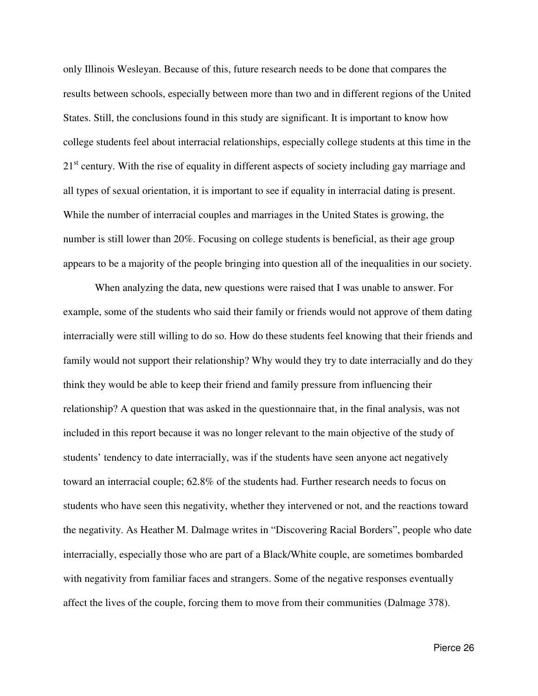only Illinois Wesleyan. Because of this, future research needs to be done that compares the results between schools, especially between more than two and in different regions of the United States. Still, the conclusions found in this study are significant. It is important to know how college students feel about interracial relationships, especially college students at this time in the 21<sup>st</sup> century. With the rise of equality in different aspects of society including gay marriage and all types of sexual orientation, it is important to see if equality in interracial dating is present. While the number of interracial couples and marriages in the United States is growing, the number is still lower than 20%. Focusing on college students is beneficial, as their age group appears to be a majority of the people bringing into question all of the inequalities in our society.

When analyzing the data, new questions were raised that I was unable to answer. For example, some of the students who said their family or friends would not approve of them dating interracially were still willing to do so. How do these students feel knowing that their friends and family would not support their relationship? Why would they try to date interracially and do they think they would be able to keep their friend and family pressure from influencing their relationship? A question that was asked in the questionnaire that, in the final analysis, was not included in this report because it was no longer relevant to the main objective of the study of students' tendency to date interracially, was if the students have seen anyone act negatively toward an interracial couple; 62.8% of the students had. Further research needs to focus on students who have seen this negativity, whether they intervened or not, and the reactions toward the negativity. As Heather M. Dalmage writes in "Discovering Racial Borders", people who date interracially, especially those who are part of a Black/White couple, are sometimes bombarded with negativity from familiar faces and strangers. Some of the negative responses eventually affect the lives of the couple, forcing them to move from their communities (Dalmage 378).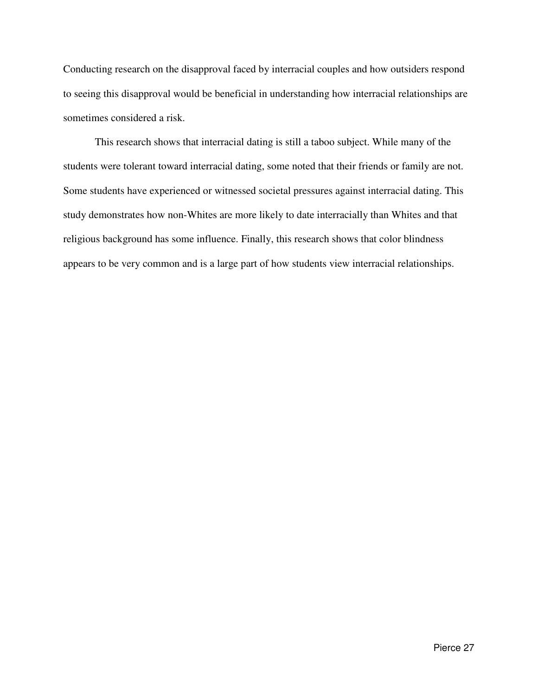Conducting research on the disapproval faced by interracial couples and how outsiders respond to seeing this disapproval would be beneficial in understanding how interracial relationships are sometimes considered a risk.

This research shows that interracial dating is still a taboo subject. While many of the students were tolerant toward interracial dating, some noted that their friends or family are not. Some students have experienced or witnessed societal pressures against interracial dating. This study demonstrates how non-Whites are more likely to date interracially than Whites and that religious background has some influence. Finally, this research shows that color blindness appears to be very common and is a large part of how students view interracial relationships.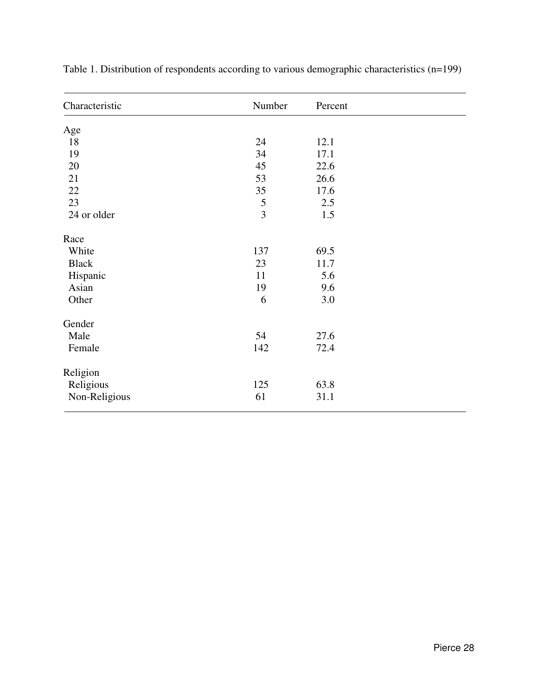| Characteristic | Number         | Percent |  |
|----------------|----------------|---------|--|
| Age            |                |         |  |
| 18             | 24             | 12.1    |  |
| 19             | 34             | 17.1    |  |
| 20             | 45             | 22.6    |  |
| 21             | 53             | 26.6    |  |
| $22\,$         | 35             | 17.6    |  |
| 23             | 5              | 2.5     |  |
| 24 or older    | $\overline{3}$ | 1.5     |  |
| Race           |                |         |  |
| White          | 137            | 69.5    |  |
| <b>Black</b>   | 23             | 11.7    |  |
| Hispanic       | 11             | 5.6     |  |
| Asian          | 19             | 9.6     |  |
| Other          | 6              | 3.0     |  |
| Gender         |                |         |  |
| Male           | 54             | 27.6    |  |
| Female         | 142            | 72.4    |  |
| Religion       |                |         |  |
| Religious      | 125            | 63.8    |  |
| Non-Religious  | 61             | 31.1    |  |

Table 1. Distribution of respondents according to various demographic characteristics (n=199)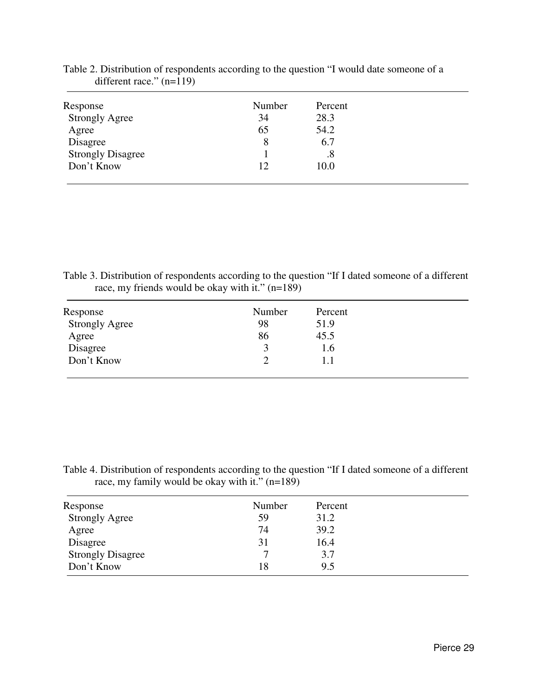| Response                 | Number | Percent |
|--------------------------|--------|---------|
| <b>Strongly Agree</b>    | 34     | 28.3    |
| Agree                    | 65     | 54.2    |
| Disagree                 | 8      | 6.7     |
| <b>Strongly Disagree</b> |        | .8      |
| Don't Know               | 12     | 10.0    |

Table 2. Distribution of respondents according to the question "I would date someone of a different race."  $(n=119)$ 

Table 3. Distribution of respondents according to the question "If I dated someone of a different race, my friends would be okay with it." (n=189)

| Response              | Number | Percent |
|-----------------------|--------|---------|
| <b>Strongly Agree</b> | 98     | 51.9    |
| Agree                 | 86     | 45.5    |
| Disagree              |        | 1.6     |
| Don't Know            |        | 1.1     |

Table 4. Distribution of respondents according to the question "If I dated someone of a different race, my family would be okay with it." (n=189)

| Response                 | Number | Percent |  |
|--------------------------|--------|---------|--|
| <b>Strongly Agree</b>    | 59     | 31.2    |  |
| Agree                    | 74     | 39.2    |  |
| Disagree                 | 31     | 16.4    |  |
| <b>Strongly Disagree</b> |        | 3.7     |  |
| Don't Know               | 18     | 9.5     |  |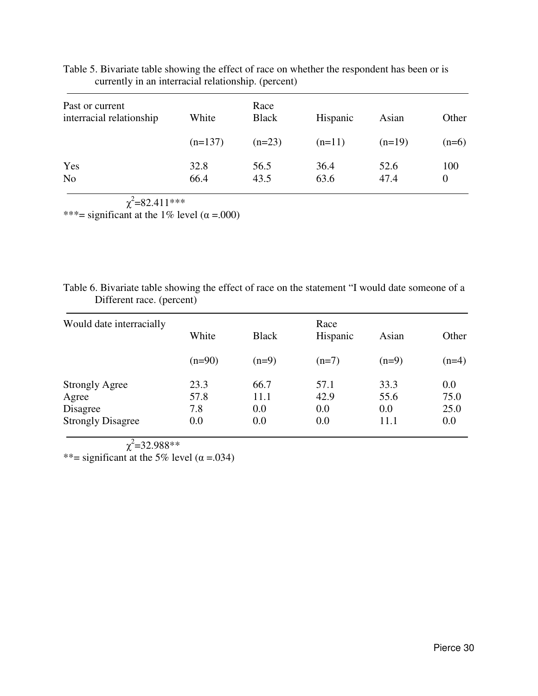| Past or current<br>interracial relationship | White        | Race<br><b>Black</b> | Hispanic     | Asian        | Other           |
|---------------------------------------------|--------------|----------------------|--------------|--------------|-----------------|
|                                             | $(n=137)$    | $(n=23)$             | $(n=11)$     | $(n=19)$     | $(n=6)$         |
| Yes<br>N <sub>o</sub>                       | 32.8<br>66.4 | 56.5<br>43.5         | 36.4<br>63.6 | 52.6<br>47.4 | 100<br>$\Omega$ |

Table 5. Bivariate table showing the effect of race on whether the respondent has been or is currently in an interracial relationship. (percent)

 $\chi^2$ =82.411\*\*\*

\*\*\*= significant at the 1% level  $(\alpha = .000)$ 

| Table 6. Bivariate table showing the effect of race on the statement "I would date someone of a |  |
|-------------------------------------------------------------------------------------------------|--|
| Different race. (percent)                                                                       |  |

| Would date interracially |          |              | Race     |         |         |
|--------------------------|----------|--------------|----------|---------|---------|
|                          | White    | <b>Black</b> | Hispanic | Asian   | Other   |
|                          | $(n=90)$ | $(n=9)$      | $(n=7)$  | $(n=9)$ | $(n=4)$ |
| <b>Strongly Agree</b>    | 23.3     | 66.7         | 57.1     | 33.3    | 0.0     |
| Agree                    | 57.8     | 11.1         | 42.9     | 55.6    | 75.0    |
| Disagree                 | 7.8      | 0.0          | 0.0      | 0.0     | 25.0    |
| <b>Strongly Disagree</b> | 0.0      | 0.0          | 0.0      | 11.1    | 0.0     |

 χ  $2^2$ =32.988\*\*

\*\*= significant at the 5% level  $(\alpha = .034)$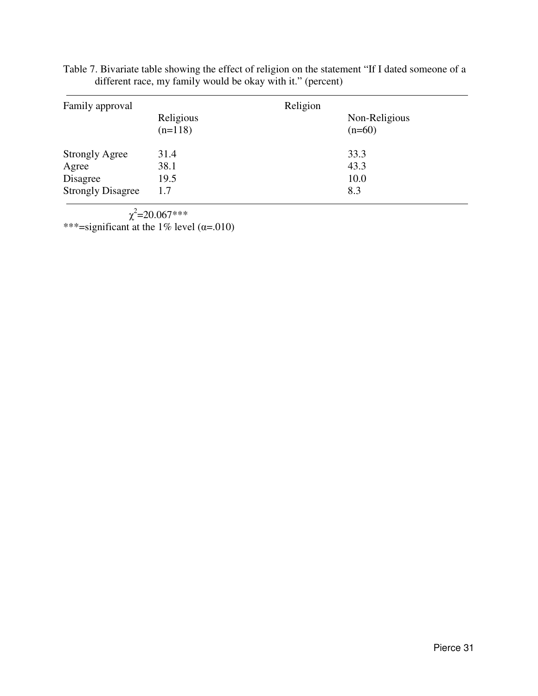| Table 7. Bivariate table showing the effect of religion on the statement "If I dated someone of a |  |
|---------------------------------------------------------------------------------------------------|--|
| different race, my family would be okay with it." (percent)                                       |  |

| Family approval          |                        | Religion |               |
|--------------------------|------------------------|----------|---------------|
|                          | Religious<br>$(n=118)$ | $(n=60)$ | Non-Religious |
| <b>Strongly Agree</b>    | 31.4                   | 33.3     |               |
| Agree                    | 38.1                   | 43.3     |               |
| Disagree                 | 19.5                   | 10.0     |               |
| <b>Strongly Disagree</b> | 1.7                    | 8.3      |               |

 $\chi^2$ =20.067\*\*\* \*\*\*=significant at the 1% level  $(\alpha = .010)$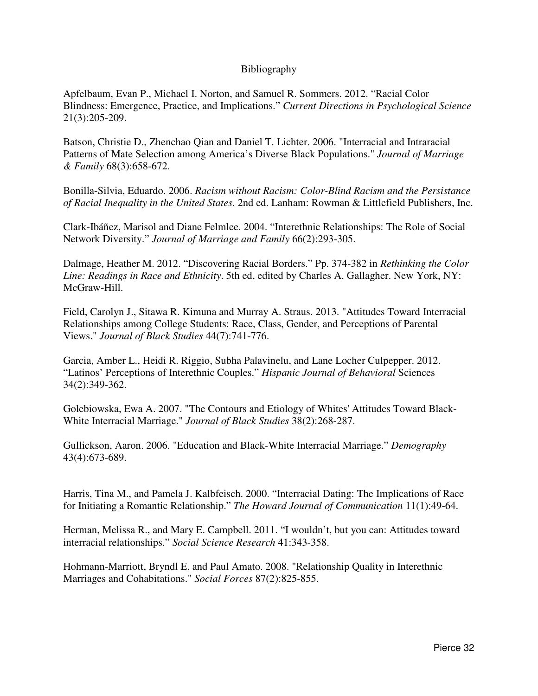## Bibliography

Apfelbaum, Evan P., Michael I. Norton, and Samuel R. Sommers. 2012. "Racial Color Blindness: Emergence, Practice, and Implications." *Current Directions in Psychological Science* 21(3):205-209.

Batson, Christie D., Zhenchao Qian and Daniel T. Lichter. 2006. "Interracial and Intraracial Patterns of Mate Selection among America's Diverse Black Populations." *Journal of Marriage & Family* 68(3):658-672.

Bonilla-Silvia, Eduardo. 2006. *Racism without Racism: Color-Blind Racism and the Persistance of Racial Inequality in the United States*. 2nd ed. Lanham: Rowman & Littlefield Publishers, Inc.

Clark-Ibáñez, Marisol and Diane Felmlee. 2004. "Interethnic Relationships: The Role of Social Network Diversity." *Journal of Marriage and Family* 66(2):293-305.

Dalmage, Heather M. 2012. "Discovering Racial Borders." Pp. 374-382 in *Rethinking the Color Line: Readings in Race and Ethnicity*. 5th ed, edited by Charles A. Gallagher. New York, NY: McGraw-Hill.

Field, Carolyn J., Sitawa R. Kimuna and Murray A. Straus. 2013. "Attitudes Toward Interracial Relationships among College Students: Race, Class, Gender, and Perceptions of Parental Views." *Journal of Black Studies* 44(7):741-776.

Garcia, Amber L., Heidi R. Riggio, Subha Palavinelu, and Lane Locher Culpepper. 2012. "Latinos' Perceptions of Interethnic Couples." *Hispanic Journal of Behavioral* Sciences 34(2):349-362.

Golebiowska, Ewa A. 2007. "The Contours and Etiology of Whites' Attitudes Toward Black-White Interracial Marriage." *Journal of Black Studies* 38(2):268-287.

Gullickson, Aaron. 2006. "Education and Black-White Interracial Marriage." *Demography* 43(4):673-689.

Harris, Tina M., and Pamela J. Kalbfeisch. 2000. "Interracial Dating: The Implications of Race for Initiating a Romantic Relationship." *The Howard Journal of Communication* 11(1):49-64.

Herman, Melissa R., and Mary E. Campbell. 2011. "I wouldn't, but you can: Attitudes toward interracial relationships." *Social Science Research* 41:343-358.

Hohmann-Marriott, Bryndl E. and Paul Amato. 2008. "Relationship Quality in Interethnic Marriages and Cohabitations." *Social Forces* 87(2):825-855.